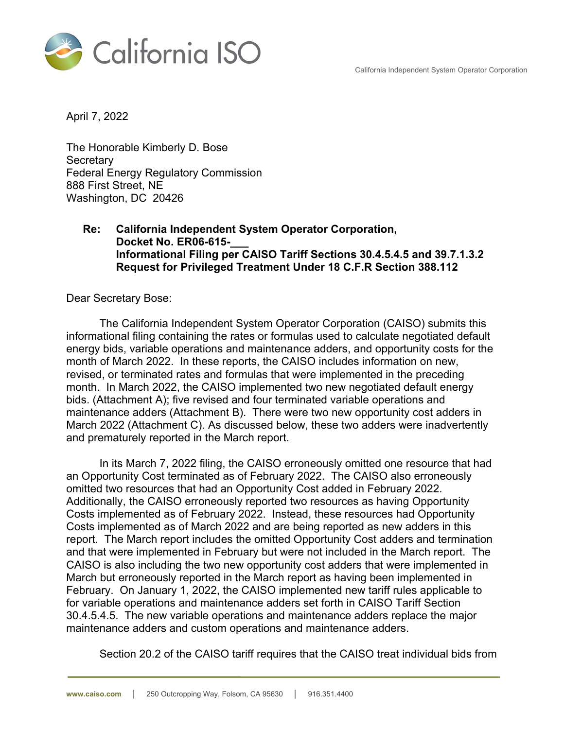California Independent System Operator Corporation



April 7, 2022

The Honorable Kimberly D. Bose **Secretary** Federal Energy Regulatory Commission 888 First Street, NE Washington, DC 20426

### **Re: California Independent System Operator Corporation, Docket No. ER06-615-\_\_\_ Informational Filing per CAISO Tariff Sections 30.4.5.4.5 and 39.7.1.3.2 Request for Privileged Treatment Under 18 C.F.R Section 388.112**

Dear Secretary Bose:

The California Independent System Operator Corporation (CAISO) submits this informational filing containing the rates or formulas used to calculate negotiated default energy bids, variable operations and maintenance adders, and opportunity costs for the month of March 2022. In these reports, the CAISO includes information on new, revised, or terminated rates and formulas that were implemented in the preceding month. In March 2022, the CAISO implemented two new negotiated default energy bids. (Attachment A); five revised and four terminated variable operations and maintenance adders (Attachment B). There were two new opportunity cost adders in March 2022 (Attachment C). As discussed below, these two adders were inadvertently and prematurely reported in the March report.

In its March 7, 2022 filing, the CAISO erroneously omitted one resource that had an Opportunity Cost terminated as of February 2022. The CAISO also erroneously omitted two resources that had an Opportunity Cost added in February 2022. Additionally, the CAISO erroneously reported two resources as having Opportunity Costs implemented as of February 2022. Instead, these resources had Opportunity Costs implemented as of March 2022 and are being reported as new adders in this report. The March report includes the omitted Opportunity Cost adders and termination and that were implemented in February but were not included in the March report. The CAISO is also including the two new opportunity cost adders that were implemented in March but erroneously reported in the March report as having been implemented in February. On January 1, 2022, the CAISO implemented new tariff rules applicable to for variable operations and maintenance adders set forth in CAISO Tariff Section 30.4.5.4.5. The new variable operations and maintenance adders replace the major maintenance adders and custom operations and maintenance adders.

Section 20.2 of the CAISO tariff requires that the CAISO treat individual bids from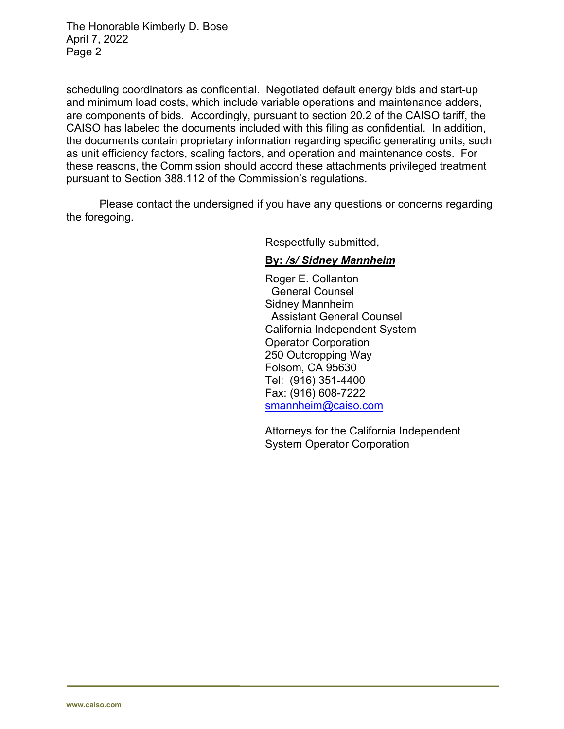The Honorable Kimberly D. Bose April 7, 2022 Page 2

scheduling coordinators as confidential. Negotiated default energy bids and start-up and minimum load costs, which include variable operations and maintenance adders, are components of bids. Accordingly, pursuant to section 20.2 of the CAISO tariff, the CAISO has labeled the documents included with this filing as confidential. In addition, the documents contain proprietary information regarding specific generating units, such as unit efficiency factors, scaling factors, and operation and maintenance costs. For these reasons, the Commission should accord these attachments privileged treatment pursuant to Section 388.112 of the Commission's regulations.

Please contact the undersigned if you have any questions or concerns regarding the foregoing.

Respectfully submitted,

## **By:** */s/ Sidney Mannheim*

Roger E. Collanton General Counsel Sidney Mannheim Assistant General Counsel California Independent System Operator Corporation 250 Outcropping Way Folsom, CA 95630 Tel: (916) 351-4400 Fax: (916) 608-7222 smannheim@caiso.com

Attorneys for the California Independent System Operator Corporation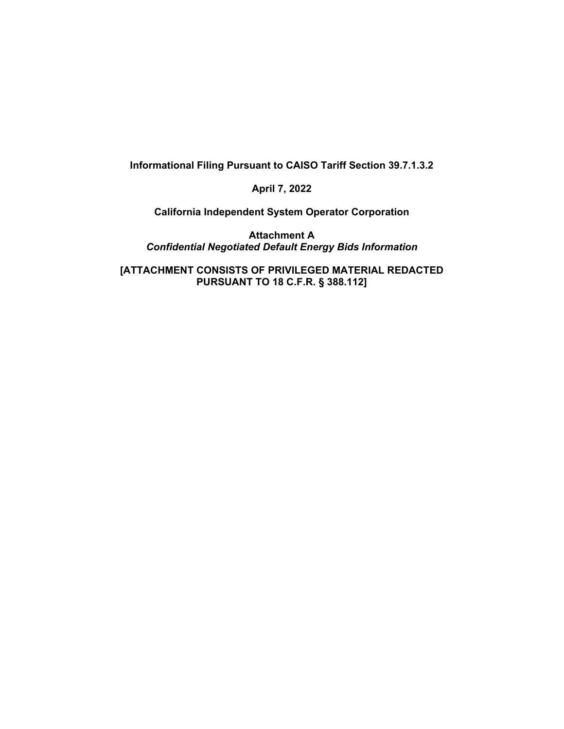**Informational Filing Pursuant to CAISO Tariff Section 39.7.1.3.2** 

**April 7, 2022** 

**California Independent System Operator Corporation** 

**Attachment A**  *Confidential Negotiated Default Energy Bids Information* 

**[ATTACHMENT CONSISTS OF PRIVILEGED MATERIAL REDACTED PURSUANT TO 18 C.F.R. § 388.112]**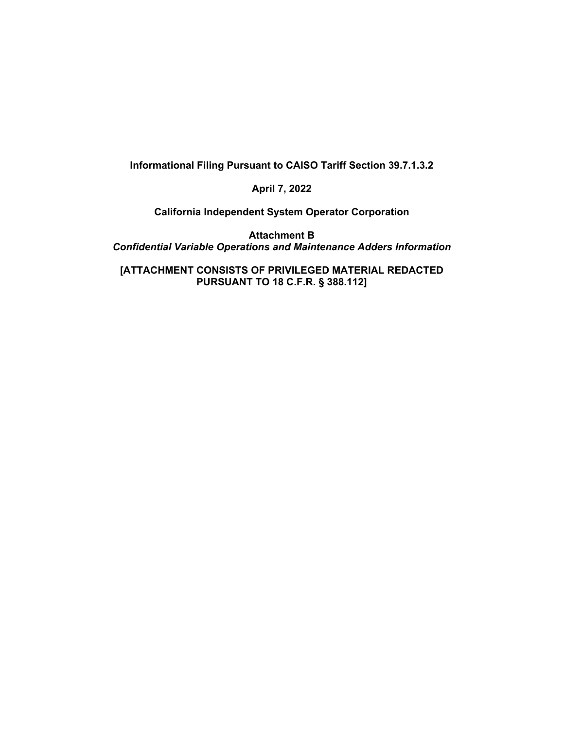#### **Informational Filing Pursuant to CAISO Tariff Section 39.7.1.3.2**

#### **April 7, 2022**

**California Independent System Operator Corporation** 

**Attachment B**  *Confidential Variable Operations and Maintenance Adders Information* 

**[ATTACHMENT CONSISTS OF PRIVILEGED MATERIAL REDACTED PURSUANT TO 18 C.F.R. § 388.112]**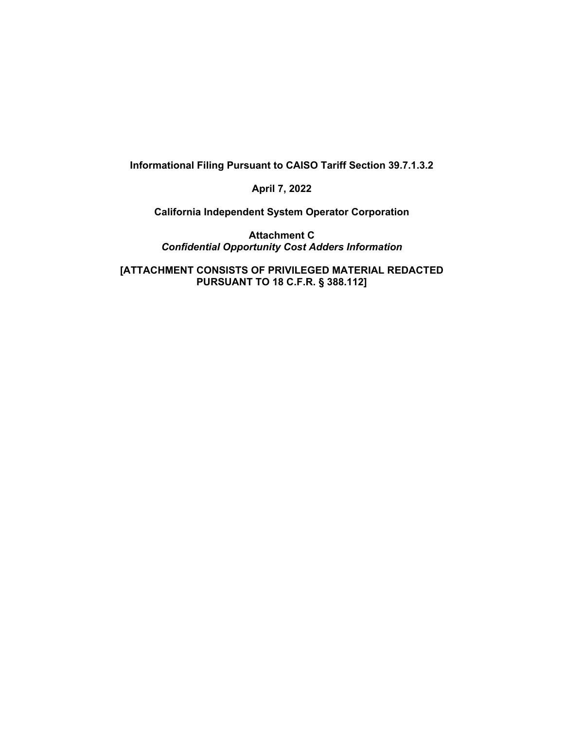**Informational Filing Pursuant to CAISO Tariff Section 39.7.1.3.2** 

**April 7, 2022** 

**California Independent System Operator Corporation** 

**Attachment C**  *Confidential Opportunity Cost Adders Information* 

**[ATTACHMENT CONSISTS OF PRIVILEGED MATERIAL REDACTED PURSUANT TO 18 C.F.R. § 388.112]**